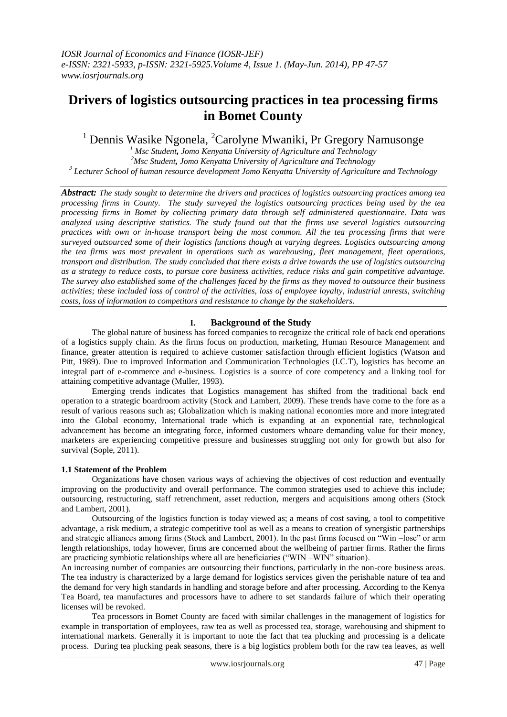# **Drivers of logistics outsourcing practices in tea processing firms in Bomet County**

<sup>1</sup> Dennis Wasike Ngonela, <sup>2</sup>Carolyne Mwaniki, Pr Gregory Namusonge

*<sup>1</sup> Msc Student, Jomo Kenyatta University of Agriculture and Technology <sup>2</sup>Msc Student, Jomo Kenyatta University of Agriculture and Technology 3 Lecturer School of human resource development Jomo Kenyatta University of Agriculture and Technology*

*Abstract: The study sought to determine the drivers and practices of logistics outsourcing practices among tea processing firms in County. The study surveyed the logistics outsourcing practices being used by the tea processing firms in Bomet by collecting primary data through self administered questionnaire. Data was analyzed using descriptive statistics. The study found out that the firms use several logistics outsourcing practices with own or in-house transport being the most common. All the tea processing firms that were surveyed outsourced some of their logistics functions though at varying degrees. Logistics outsourcing among the tea firms was most prevalent in operations such as warehousing, fleet management, fleet operations, transport and distribution. The study concluded that there exists a drive towards the use of logistics outsourcing as a strategy to reduce costs, to pursue core business activities, reduce risks and gain competitive advantage. The survey also established some of the challenges faced by the firms as they moved to outsource their business activities; these included loss of control of the activities, loss of employee loyalty, industrial unrests, switching costs, loss of information to competitors and resistance to change by the stakeholders.*

## **I. Background of the Study**

The global nature of business has forced companies to recognize the critical role of back end operations of a logistics supply chain. As the firms focus on production, marketing, Human Resource Management and finance, greater attention is required to achieve customer satisfaction through efficient logistics (Watson and Pitt, 1989). Due to improved Information and Communication Technologies (I.C.T), logistics has become an integral part of e-commerce and e-business. Logistics is a source of core competency and a linking tool for attaining competitive advantage (Muller, 1993).

Emerging trends indicates that Logistics management has shifted from the traditional back end operation to a strategic boardroom activity (Stock and Lambert, 2009). These trends have come to the fore as a result of various reasons such as; Globalization which is making national economies more and more integrated into the Global economy, International trade which is expanding at an exponential rate, technological advancement has become an integrating force, informed customers whoare demanding value for their money, marketers are experiencing competitive pressure and businesses struggling not only for growth but also for survival (Sople, 2011).

## **1.1 Statement of the Problem**

Organizations have chosen various ways of achieving the objectives of cost reduction and eventually improving on the productivity and overall performance. The common strategies used to achieve this include; outsourcing, restructuring, staff retrenchment, asset reduction, mergers and acquisitions among others (Stock and Lambert, 2001).

Outsourcing of the logistics function is today viewed as; a means of cost saving, a tool to competitive advantage, a risk medium, a strategic competitive tool as well as a means to creation of synergistic partnerships and strategic alliances among firms (Stock and Lambert, 2001). In the past firms focused on "Win –lose" or arm length relationships, today however, firms are concerned about the wellbeing of partner firms. Rather the firms are practicing symbiotic relationships where all are beneficiaries ("WIN –WIN" situation).

An increasing number of companies are outsourcing their functions, particularly in the non-core business areas. The tea industry is characterized by a large demand for logistics services given the perishable nature of tea and the demand for very high standards in handling and storage before and after processing. According to the Kenya Tea Board, tea manufactures and processors have to adhere to set standards failure of which their operating licenses will be revoked.

Tea processors in Bomet County are faced with similar challenges in the management of logistics for example in transportation of employees, raw tea as well as processed tea, storage, warehousing and shipment to international markets. Generally it is important to note the fact that tea plucking and processing is a delicate process. During tea plucking peak seasons, there is a big logistics problem both for the raw tea leaves, as well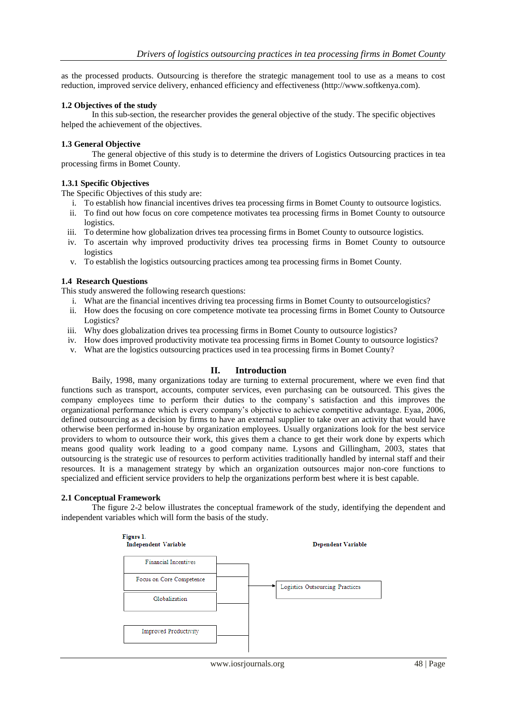as the processed products. Outsourcing is therefore the strategic management tool to use as a means to cost reduction, improved service delivery, enhanced efficiency and effectiveness (http://www.softkenya.com).

#### **1.2 Objectives of the study**

In this sub-section, the researcher provides the general objective of the study. The specific objectives helped the achievement of the objectives.

#### **1.3 General Objective**

The general objective of this study is to determine the drivers of Logistics Outsourcing practices in tea processing firms in Bomet County.

## **1.3.1 Specific Objectives**

The Specific Objectives of this study are:

- i. To establish how financial incentives drives tea processing firms in Bomet County to outsource logistics.
- ii. To find out how focus on core competence motivates tea processing firms in Bomet County to outsource logistics.
- iii. To determine how globalization drives tea processing firms in Bomet County to outsource logistics.
- iv. To ascertain why improved productivity drives tea processing firms in Bomet County to outsource logistics
- v. To establish the logistics outsourcing practices among tea processing firms in Bomet County.

## **1.4 Research Questions**

This study answered the following research questions:

- i. What are the financial incentives driving tea processing firms in Bomet County to outsourcelogistics?
- ii. How does the focusing on core competence motivate tea processing firms in Bomet County to Outsource Logistics?
- iii. Why does globalization drives tea processing firms in Bomet County to outsource logistics?
- iv. How does improved productivity motivate tea processing firms in Bomet County to outsource logistics?
- v. What are the logistics outsourcing practices used in tea processing firms in Bomet County?

#### **II. Introduction**

Baily, 1998, many organizations today are turning to external procurement, where we even find that functions such as transport, accounts, computer services, even purchasing can be outsourced. This gives the company employees time to perform their duties to the company's satisfaction and this improves the organizational performance which is every company's objective to achieve competitive advantage. Eyaa, 2006, defined outsourcing as a decision by firms to have an external supplier to take over an activity that would have otherwise been performed in-house by organization employees. Usually organizations look for the best service providers to whom to outsource their work, this gives them a chance to get their work done by experts which means good quality work leading to a good company name. Lysons and Gillingham, 2003, states that outsourcing is the strategic use of resources to perform activities traditionally handled by internal staff and their resources. It is a management strategy by which an organization outsources major non-core functions to specialized and efficient service providers to help the organizations perform best where it is best capable.

#### **2.1 Conceptual Framework**

The figure 2-2 below illustrates the conceptual framework of the study, identifying the dependent and independent variables which will form the basis of the study.

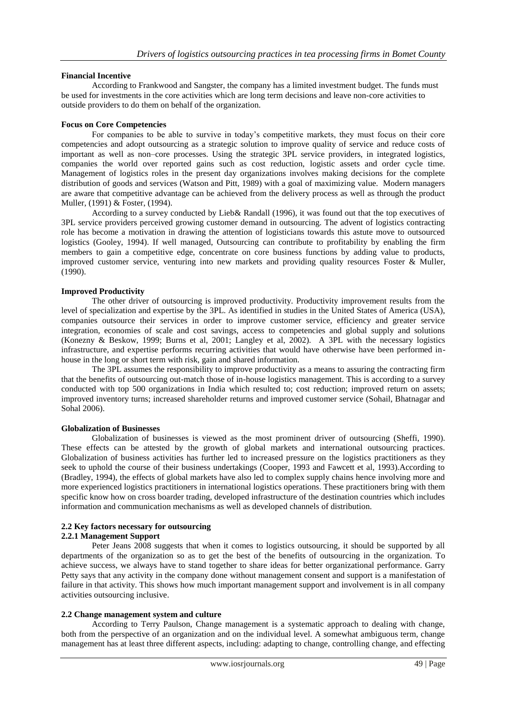## **Financial Incentive**

According to Frankwood and Sangster, the company has a limited investment budget. The funds must be used for investments in the core activities which are long term decisions and leave non-core activities to outside providers to do them on behalf of the organization.

#### **Focus on Core Competencies**

For companies to be able to survive in today's competitive markets, they must focus on their core competencies and adopt outsourcing as a strategic solution to improve quality of service and reduce costs of important as well as non–core processes. Using the strategic 3PL service providers, in integrated logistics, companies the world over reported gains such as cost reduction, logistic assets and order cycle time. Management of logistics roles in the present day organizations involves making decisions for the complete distribution of goods and services (Watson and Pitt, 1989) with a goal of maximizing value. Modern managers are aware that competitive advantage can be achieved from the delivery process as well as through the product Muller, (1991) & Foster, (1994).

According to a survey conducted by Lieb& Randall (1996), it was found out that the top executives of 3PL service providers perceived growing customer demand in outsourcing. The advent of logistics contracting role has become a motivation in drawing the attention of logisticians towards this astute move to outsourced logistics (Gooley, 1994). If well managed, Outsourcing can contribute to profitability by enabling the firm members to gain a competitive edge, concentrate on core business functions by adding value to products, improved customer service, venturing into new markets and providing quality resources Foster & Muller, (1990).

## **Improved Productivity**

The other driver of outsourcing is improved productivity. Productivity improvement results from the level of specialization and expertise by the 3PL. As identified in studies in the United States of America (USA), companies outsource their services in order to improve customer service, efficiency and greater service integration, economies of scale and cost savings, access to competencies and global supply and solutions (Konezny & Beskow, 1999; Burns et al, 2001; Langley et al, 2002). A 3PL with the necessary logistics infrastructure, and expertise performs recurring activities that would have otherwise have been performed inhouse in the long or short term with risk, gain and shared information.

The 3PL assumes the responsibility to improve productivity as a means to assuring the contracting firm that the benefits of outsourcing out-match those of in-house logistics management. This is according to a survey conducted with top 500 organizations in India which resulted to; cost reduction; improved return on assets; improved inventory turns; increased shareholder returns and improved customer service (Sohail, Bhatnagar and Sohal 2006).

#### **Globalization of Businesses**

Globalization of businesses is viewed as the most prominent driver of outsourcing (Sheffi, 1990). These effects can be attested by the growth of global markets and international outsourcing practices. Globalization of business activities has further led to increased pressure on the logistics practitioners as they seek to uphold the course of their business undertakings (Cooper, 1993 and Fawcett et al, 1993).According to (Bradley, 1994), the effects of global markets have also led to complex supply chains hence involving more and more experienced logistics practitioners in international logistics operations. These practitioners bring with them specific know how on cross boarder trading, developed infrastructure of the destination countries which includes information and communication mechanisms as well as developed channels of distribution.

## **2.2 Key factors necessary for outsourcing**

#### **2.2.1 Management Support**

Peter Jeans 2008 suggests that when it comes to logistics outsourcing, it should be supported by all departments of the organization so as to get the best of the benefits of outsourcing in the organization. To achieve success, we always have to stand together to share ideas for better organizational performance. Garry Petty says that any activity in the company done without management consent and support is a manifestation of failure in that activity. This shows how much important management support and involvement is in all company activities outsourcing inclusive.

## **2.2 Change management system and culture**

According to Terry Paulson, Change management is a systematic approach to dealing with change, both from the perspective of an organization and on the individual level. A somewhat ambiguous term, change management has at least three different aspects, including: adapting to change, controlling change, and effecting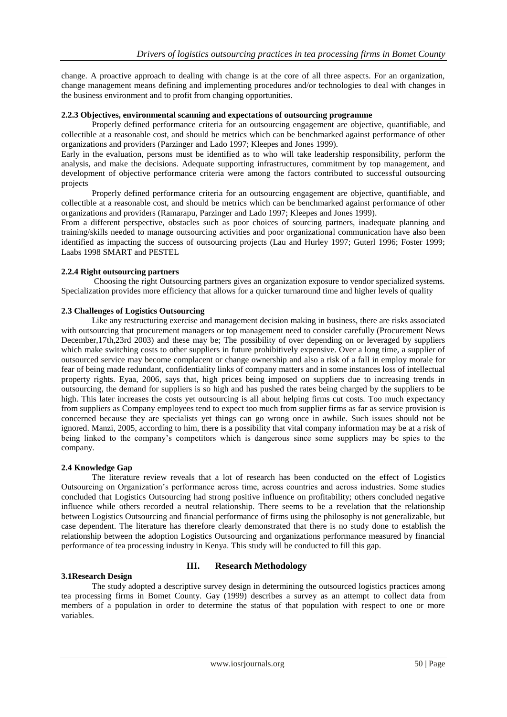change. A proactive approach to dealing with change is at the core of all three aspects. For an organization, change management means defining and implementing procedures and/or technologies to deal with changes in the business environment and to profit from changing opportunities.

## **2.2.3 Objectives, environmental scanning and expectations of outsourcing programme**

Properly defined performance criteria for an outsourcing engagement are objective, quantifiable, and collectible at a reasonable cost, and should be metrics which can be benchmarked against performance of other organizations and providers (Parzinger and Lado 1997; Kleepes and Jones 1999).

Early in the evaluation, persons must be identified as to who will take leadership responsibility, perform the analysis, and make the decisions. Adequate supporting infrastructures, commitment by top management, and development of objective performance criteria were among the factors contributed to successful outsourcing projects

Properly defined performance criteria for an outsourcing engagement are objective, quantifiable, and collectible at a reasonable cost, and should be metrics which can be benchmarked against performance of other organizations and providers (Ramarapu, Parzinger and Lado 1997; Kleepes and Jones 1999).

From a different perspective, obstacles such as poor choices of sourcing partners, inadequate planning and training/skills needed to manage outsourcing activities and poor organizational communication have also been identified as impacting the success of outsourcing projects (Lau and Hurley 1997; Guterl 1996; Foster 1999; Laabs 1998 SMART and PESTEL

## **2.2.4 Right outsourcing partners**

Choosing the right Outsourcing partners gives an organization exposure to vendor specialized systems. Specialization provides more efficiency that allows for a quicker turnaround time and higher levels of quality

## **2.3 Challenges of Logistics Outsourcing**

Like any restructuring exercise and management decision making in business, there are risks associated with outsourcing that procurement managers or top management need to consider carefully (Procurement News December,17th,23rd 2003) and these may be; The possibility of over depending on or leveraged by suppliers which make switching costs to other suppliers in future prohibitively expensive. Over a long time, a supplier of outsourced service may become complacent or change ownership and also a risk of a fall in employ morale for fear of being made redundant, confidentiality links of company matters and in some instances loss of intellectual property rights. Eyaa, 2006, says that, high prices being imposed on suppliers due to increasing trends in outsourcing, the demand for suppliers is so high and has pushed the rates being charged by the suppliers to be high. This later increases the costs yet outsourcing is all about helping firms cut costs. Too much expectancy from suppliers as Company employees tend to expect too much from supplier firms as far as service provision is concerned because they are specialists yet things can go wrong once in awhile. Such issues should not be ignored. Manzi, 2005, according to him, there is a possibility that vital company information may be at a risk of being linked to the company's competitors which is dangerous since some suppliers may be spies to the company.

#### **2.4 Knowledge Gap**

The literature review reveals that a lot of research has been conducted on the effect of Logistics Outsourcing on Organization's performance across time, across countries and across industries. Some studies concluded that Logistics Outsourcing had strong positive influence on profitability; others concluded negative influence while others recorded a neutral relationship. There seems to be a revelation that the relationship between Logistics Outsourcing and financial performance of firms using the philosophy is not generalizable, but case dependent. The literature has therefore clearly demonstrated that there is no study done to establish the relationship between the adoption Logistics Outsourcing and organizations performance measured by financial performance of tea processing industry in Kenya. This study will be conducted to fill this gap.

## **3.1Research Design**

## **III. Research Methodology**

The study adopted a descriptive survey design in determining the outsourced logistics practices among tea processing firms in Bomet County. Gay (1999) describes a survey as an attempt to collect data from members of a population in order to determine the status of that population with respect to one or more variables.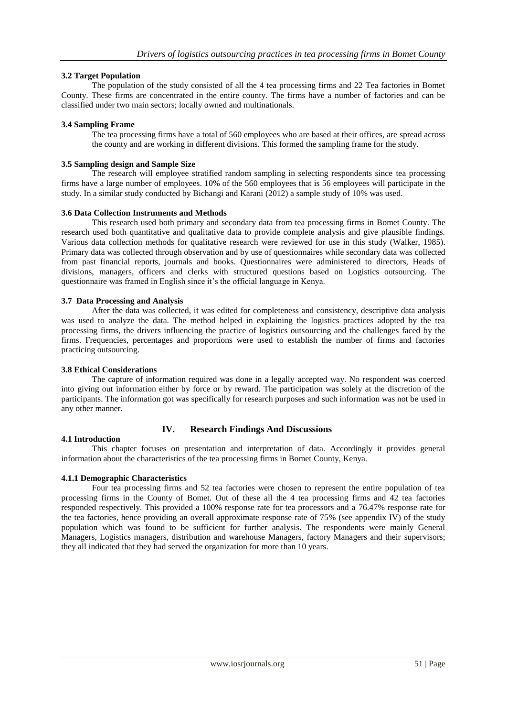## **3.2 Target Population**

The population of the study consisted of all the 4 tea processing firms and 22 Tea factories in Bomet County. These firms are concentrated in the entire county. The firms have a number of factories and can be classified under two main sectors; locally owned and multinationals.

#### **3.4 Sampling Frame**

The tea processing firms have a total of 560 employees who are based at their offices, are spread across the county and are working in different divisions. This formed the sampling frame for the study.

#### **3.5 Sampling design and Sample Size**

The research will employee stratified random sampling in selecting respondents since tea processing firms have a large number of employees. 10% of the 560 employees that is 56 employees will participate in the study. In a similar study conducted by Bichangi and Karani (2012) a sample study of 10% was used.

#### **3.6 Data Collection Instruments and Methods**

This research used both primary and secondary data from tea processing firms in Bomet County. The research used both quantitative and qualitative data to provide complete analysis and give plausible findings. Various data collection methods for qualitative research were reviewed for use in this study (Walker, 1985). Primary data was collected through observation and by use of questionnaires while secondary data was collected from past financial reports, journals and books. Questionnaires were administered to directors, Heads of divisions, managers, officers and clerks with structured questions based on Logistics outsourcing. The questionnaire was framed in English since it's the official language in Kenya.

## **3.7 Data Processing and Analysis**

After the data was collected, it was edited for completeness and consistency, descriptive data analysis was used to analyze the data. The method helped in explaining the logistics practices adopted by the tea processing firms, the drivers influencing the practice of logistics outsourcing and the challenges faced by the firms. Frequencies, percentages and proportions were used to establish the number of firms and factories practicing outsourcing.

#### **3.8 Ethical Considerations**

The capture of information required was done in a legally accepted way. No respondent was coerced into giving out information either by force or by reward. The participation was solely at the discretion of the participants. The information got was specifically for research purposes and such information was not be used in any other manner.

## **4.1 Introduction**

## **IV. Research Findings And Discussions**

This chapter focuses on presentation and interpretation of data. Accordingly it provides general information about the characteristics of the tea processing firms in Bomet County, Kenya.

## **4.1.1 Demographic Characteristics**

Four tea processing firms and 52 tea factories were chosen to represent the entire population of tea processing firms in the County of Bomet. Out of these all the 4 tea processing firms and 42 tea factories responded respectively. This provided a 100% response rate for tea processors and a 76.47% response rate for the tea factories, hence providing an overall approximate response rate of 75% (see appendix IV) of the study population which was found to be sufficient for further analysis. The respondents were mainly General Managers, Logistics managers, distribution and warehouse Managers, factory Managers and their supervisors; they all indicated that they had served the organization for more than 10 years.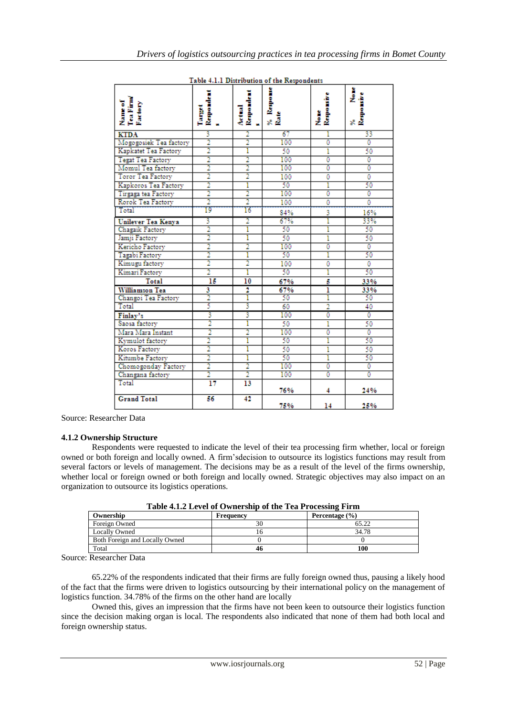|                                 |                          |                      | Table 4.1.1 Distribution of the Respondents |                    |                      |
|---------------------------------|--------------------------|----------------------|---------------------------------------------|--------------------|----------------------|
| Name of<br>Tea Firmy<br>Factory | Target<br>Repordent<br>1 | Actual<br>Respondent | Response<br>% a<br>Rate                     | Nome<br>Responsive | % None<br>Responsive |
| <b>KTDA</b>                     | 3                        | $\overline{2}$       | 67                                          | ı                  | 33                   |
| Mogogosiek Tea factory          | 2                        | 2                    | 100                                         | 0                  | $\mathbf{0}$         |
| Kapkatet Tea Factory            | $\overline{2}$           | ī                    | 50                                          | ī                  | 50                   |
| <b>Tegat Tea Factory</b>        | $\overline{2}$           | $\overline{2}$       | 100                                         | 0                  | 0                    |
| Momul Tea factory               | $\bar{2}$                | $\overline{2}$       | 100                                         | 0                  | 0                    |
| Toror Tea Factory               | $\overline{2}$           | $\overline{2}$       | 100                                         | 0                  | 0                    |
| Kapkoros Tea Factory            | $\overline{2}$           | ī                    | 50                                          | ī                  | 50                   |
| Tirgaga tea Factory             | $\overline{2}$           | $\overline{2}$       | 100                                         | 0                  | 0                    |
| Rorok Tea Factory               | $\overline{2}$           | $\overline{2}$       | 100                                         | 0                  | 0                    |
| Total                           | 19                       | 16                   | 84%                                         | 3                  | 16%                  |
| Unilever Tea Kenya              | 3                        | 2                    | 67%                                         | ī                  | 33%                  |
| Chagaik Factory                 | $\overline{2}$           | ī                    | 50                                          | ī                  | 50                   |
| Jamji Factory                   | 2                        | ī                    | 50                                          | ī                  | 50                   |
| Kericho Factory                 | 2                        | 2                    | 100                                         | 0                  | 0                    |
| Tagabi Factory                  | 2                        | ı                    | 50                                          | ī                  | 50                   |
| Kimugu factory                  | $\overline{2}$           | $\overline{2}$       | 100                                         | 0                  | $\overline{0}$       |
| Kimari Factory                  | $\overline{2}$           | ī                    | 50                                          | ī                  | 50                   |
| <b>Total</b>                    | 15                       | 10                   | 67%                                         | 5                  | 33%                  |
| Williamson Tea                  | 3                        | 2                    | 67%                                         | ī                  | 33%                  |
| Changoi Tea Factory             | 2                        | 1                    | 50                                          | 1                  | 50                   |
| Total                           | 5                        | 3                    | 60                                          | $\overline{2}$     | 40                   |
| Finlay's                        | 3                        | 3                    | 100                                         | 0                  | 0                    |
| Saosa factory                   | 2                        | 1                    | 50                                          | ī                  | 50                   |
| Mara Mara Instant               | 2                        | 2                    | 100                                         | 0                  | 0                    |
| Kymulot factory                 | $\overline{2}$           | Ī                    | 50                                          | ī                  | 50                   |
| Koros Factory                   | $\overline{2}$           | ī                    | 50                                          | ı                  | 50                   |
| Kitumbe Factory                 | $\overline{2}$           | ī                    | 50                                          | ī                  | 50                   |
| Chomogonday Factory             | $\overline{2}$           | $\overline{2}$       | 100                                         | 0                  | 0                    |
| Changana factory                | $\overline{2}$           | $\overline{2}$       | 100                                         | 0                  | 0                    |
| Total                           | 17                       | 13                   | 76%                                         | 4                  | 24%                  |
| <b>Grand Total</b>              | 56                       | 42                   | 75%                                         | 14                 | 25%                  |

 $\sim$   $\sim$   $\sim$   $\sim$   $\sim$ 

Source: Researcher Data

#### **4.1.2 Ownership Structure**

Respondents were requested to indicate the level of their tea processing firm whether, local or foreign owned or both foreign and locally owned. A firm'sdecision to outsource its logistics functions may result from several factors or levels of management. The decisions may be as a result of the level of the firms ownership, whether local or foreign owned or both foreign and locally owned. Strategic objectives may also impact on an organization to outsource its logistics operations.

| Table 4.1.2 Level of Ownership of the Tea Processing Firm |           |                    |  |
|-----------------------------------------------------------|-----------|--------------------|--|
| Ownership                                                 | Frequency | Percentage $(\% )$ |  |
| Foreign Owned                                             | 30        | 65.22              |  |
| <b>Locally Owned</b>                                      |           | 34.78              |  |
| Both Foreign and Locally Owned                            |           |                    |  |
| Total                                                     | 46        | 100                |  |

**Table 4.1.2 Level of Ownership of the Tea Processing Firm**

Source: Researcher Data

65.22% of the respondents indicated that their firms are fully foreign owned thus, pausing a likely hood of the fact that the firms were driven to logistics outsourcing by their international policy on the management of logistics function. 34.78% of the firms on the other hand are locally

Owned this, gives an impression that the firms have not been keen to outsource their logistics function since the decision making organ is local. The respondents also indicated that none of them had both local and foreign ownership status.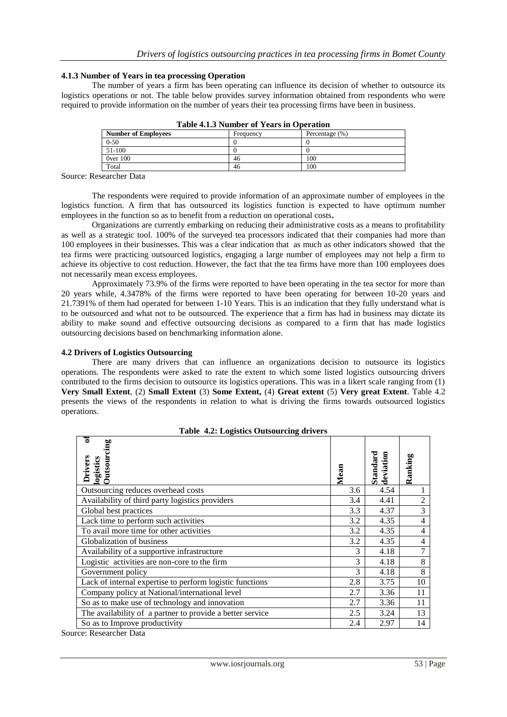#### **4.1.3 Number of Years in tea processing Operation**

The number of years a firm has been operating can influence its decision of whether to outsource its logistics operations or not. The table below provides survey information obtained from respondents who were required to provide information on the number of years their tea processing firms have been in business.

| <b>Number of Employees</b> | Frequency | Percentage $(\%)$ |  |  |
|----------------------------|-----------|-------------------|--|--|
| $0 - 50$                   |           |                   |  |  |
| 51-100                     |           |                   |  |  |
| 0ver 100                   | 46        | 100               |  |  |
| Total                      | 46        | 100               |  |  |

**Table 4.1.3 Number of Years in Operation**

Source: Researcher Data

The respondents were required to provide information of an approximate number of employees in the logistics function. A firm that has outsourced its logistics function is expected to have optimum number employees in the function so as to benefit from a reduction on operational costs**.**

Organizations are currently embarking on reducing their administrative costs as a means to profitability as well as a strategic tool. 100% of the surveyed tea processors indicated that their companies had more than 100 employees in their businesses. This was a clear indication that as much as other indicators showed that the tea firms were practicing outsourced logistics, engaging a large number of employees may not help a firm to achieve its objective to cost reduction. However, the fact that the tea firms have more than 100 employees does not necessarily mean excess employees.

Approximately 73.9% of the firms were reported to have been operating in the tea sector for more than 20 years while, 4.3478% of the firms were reported to have been operating for between 10-20 years and 21.7391% of them had operated for between 1-10 Years. This is an indication that they fully understand what is to be outsourced and what not to be outsourced. The experience that a firm has had in business may dictate its ability to make sound and effective outsourcing decisions as compared to a firm that has made logistics outsourcing decisions based on benchmarking information alone.

#### **4.2 Drivers of Logistics Outsourcing**

There are many drivers that can influence an organizations decision to outsource its logistics operations. The respondents were asked to rate the extent to which some listed logistics outsourcing drivers contributed to the firms decision to outsource its logistics operations. This was in a likert scale ranging from (1) **Very Small Extent**, (2) **Small Extent** (3) **Some Extent,** (4) **Great extent** (5) **Very great Extent**. Table 4.2 presents the views of the respondents in relation to what is driving the firms towards outsourced logistics operations.

| <b>Table 4.2: Logistics Outsourcing drivers</b>           |      |                       |                |  |  |
|-----------------------------------------------------------|------|-----------------------|----------------|--|--|
| ₹<br>Drivers of<br>logistics<br>Outsourcing               | Mean | Standard<br>deviation | Ranking        |  |  |
| Outsourcing reduces overhead costs                        | 3.6  | 4.54                  |                |  |  |
| Availability of third party logistics providers           | 3.4  | 4.41                  | $\mathfrak{2}$ |  |  |
| Global best practices                                     | 3.3  | 4.37                  | 3              |  |  |
| Lack time to perform such activities                      | 3.2  | 4.35                  | $\overline{4}$ |  |  |
| To avail more time for other activities                   | 3.2  | 4.35                  | $\overline{4}$ |  |  |
| Globalization of business                                 | 3.2  | 4.35                  | 4              |  |  |
| Availability of a supportive infrastructure               | 3    | 4.18                  | 7              |  |  |
| Logistic activities are non-core to the firm              | 3    | 4.18                  | 8              |  |  |
| Government policy                                         | 3    | 4.18                  | 8              |  |  |
| Lack of internal expertise to perform logistic functions  | 2.8  | 3.75                  | 10             |  |  |
| Company policy at National/international level            | 2.7  | 3.36                  | 11             |  |  |
| So as to make use of technology and innovation            | 2.7  | 3.36                  | 11             |  |  |
| The availability of a partner to provide a better service | 2.5  | 3.24                  | 13             |  |  |
| So as to Improve productivity                             | 2.4  | 2.97                  | 14             |  |  |

Source: Researcher Data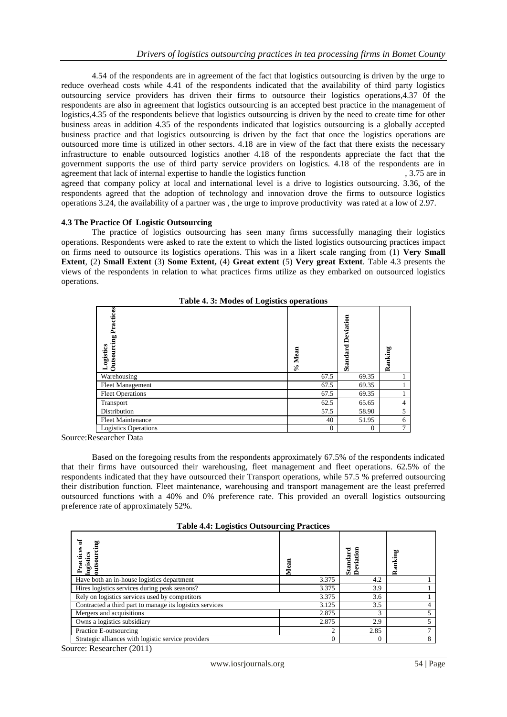4.54 of the respondents are in agreement of the fact that logistics outsourcing is driven by the urge to reduce overhead costs while 4.41 of the respondents indicated that the availability of third party logistics outsourcing service providers has driven their firms to outsource their logistics operations,4.37 0f the respondents are also in agreement that logistics outsourcing is an accepted best practice in the management of logistics,4.35 of the respondents believe that logistics outsourcing is driven by the need to create time for other business areas in addition 4.35 of the respondents indicated that logistics outsourcing is a globally accepted business practice and that logistics outsourcing is driven by the fact that once the logistics operations are outsourced more time is utilized in other sectors. 4.18 are in view of the fact that there exists the necessary infrastructure to enable outsourced logistics another 4.18 of the respondents appreciate the fact that the government supports the use of third party service providers on logistics. 4.18 of the respondents are in agreement that lack of internal expertise to handle the logistics function , 3.75 are in agreed that company policy at local and international level is a drive to logistics outsourcing. 3.36, of the respondents agreed that the adoption of technology and innovation drove the firms to outsource logistics operations 3.24, the availability of a partner was , the urge to improve productivity was rated at a low of 2.97.

#### **4.3 The Practice Of Logistic Outsourcing**

The practice of logistics outsourcing has seen many firms successfully managing their logistics operations. Respondents were asked to rate the extent to which the listed logistics outsourcing practices impact on firms need to outsource its logistics operations. This was in a likert scale ranging from (1) **Very Small Extent**, (2) **Small Extent** (3) **Some Extent,** (4) **Great extent** (5) **Very great Extent**. Table 4.3 presents the views of the respondents in relation to what practices firms utilize as they embarked on outsourced logistics operations.

| Table 4. 3: Modes of Logistics operations |                  |                       |                |  |  |
|-------------------------------------------|------------------|-----------------------|----------------|--|--|
| <b>Outsourcing Practices</b><br>Logistics | Mean<br>$\delta$ | Deviation<br>Standard | Ranking        |  |  |
| Warehousing                               | 67.5             | 69.35                 |                |  |  |
| Fleet Management                          | 67.5             | 69.35                 |                |  |  |
| <b>Fleet Operations</b>                   | 67.5             | 69.35                 |                |  |  |
| Transport                                 | 62.5             | 65.65                 | $\overline{4}$ |  |  |
| Distribution                              | 57.5             | 58.90                 | 5              |  |  |
| <b>Fleet Maintenance</b>                  | 40               | 51.95                 | 6              |  |  |
| <b>Logistics Operations</b>               | $\theta$         | $\Omega$              | $\mathcal{I}$  |  |  |

**Table 4. 3: Modes of Logistics operations**

Source:Researcher Data

Based on the foregoing results from the respondents approximately 67.5% of the respondents indicated that their firms have outsourced their warehousing, fleet management and fleet operations. 62.5% of the respondents indicated that they have outsourced their Transport operations, while 57.5 % preferred outsourcing their distribution function. Fleet maintenance, warehousing and transport management are the least preferred outsourced functions with a 40% and 0% preference rate. This provided an overall logistics outsourcing preference rate of approximately 52%.

**Table 4.4: Logistics Outsourcing Practices**

| Ъ<br>ing<br>lices<br>tics<br>logist                      |          | Standard<br>Deviation | Ranking |
|----------------------------------------------------------|----------|-----------------------|---------|
| Have both an in-house logistics department               | 3.375    | 4.2                   |         |
| Hires logistics services during peak seasons?            | 3.375    | 3.9                   |         |
| Rely on logistics services used by competitors           | 3.375    | 3.6                   |         |
| Contracted a third part to manage its logistics services | 3.125    | 3.5                   |         |
| Mergers and acquisitions                                 | 2.875    | 3                     |         |
| Owns a logistics subsidiary                              | 2.875    | 2.9                   |         |
| Practice E-outsourcing                                   | ◠        | 2.85                  |         |
| Strategic alliances with logistic service providers      | $\Omega$ |                       |         |

Source: Researcher (2011)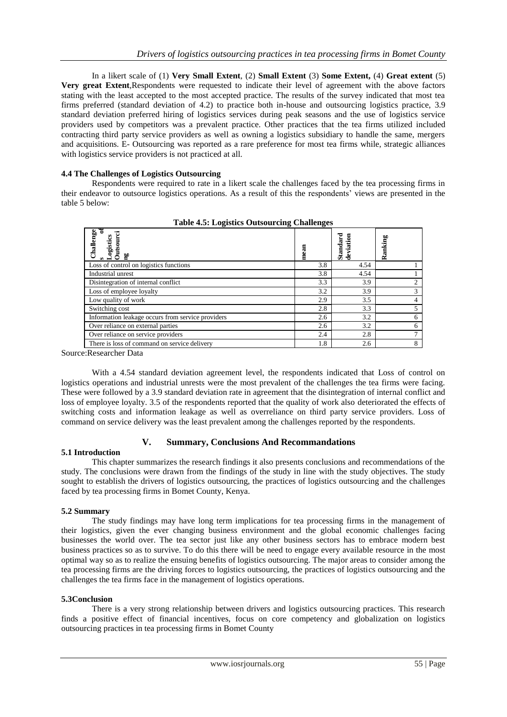In a likert scale of (1) **Very Small Extent**, (2) **Small Extent** (3) **Some Extent,** (4) **Great extent** (5) **Very great Extent**,Respondents were requested to indicate their level of agreement with the above factors stating with the least accepted to the most accepted practice. The results of the survey indicated that most tea firms preferred (standard deviation of 4.2) to practice both in-house and outsourcing logistics practice, 3.9 standard deviation preferred hiring of logistics services during peak seasons and the use of logistics service providers used by competitors was a prevalent practice. Other practices that the tea firms utilized included contracting third party service providers as well as owning a logistics subsidiary to handle the same, mergers and acquisitions. E- Outsourcing was reported as a rare preference for most tea firms while, strategic alliances with logistics service providers is not practiced at all.

## **4.4 The Challenges of Logistics Outsourcing**

Respondents were required to rate in a likert scale the challenges faced by the tea processing firms in their endeavor to outsource logistics operations. As a result of this the respondents' views are presented in the table 5 below:

| Challenge<br>ogistics<br>60                       | mean | Standard<br>deviation | Ranking |
|---------------------------------------------------|------|-----------------------|---------|
| Loss of control on logistics functions            | 3.8  | 4.54                  |         |
| Industrial unrest                                 | 3.8  | 4.54                  |         |
| Disintegration of internal conflict               | 3.3  | 3.9                   |         |
| Loss of employee loyalty                          | 3.2  | 3.9                   | 3       |
| Low quality of work                               | 2.9  | 3.5                   |         |
| Switching cost                                    | 2.8  | 3.3                   |         |
| Information leakage occurs from service providers | 2.6  | 3.2                   | 6       |
| Over reliance on external parties                 | 2.6  | 3.2                   | 6       |
| Over reliance on service providers                | 2.4  | 2.8                   |         |
| There is loss of command on service delivery      | 1.8  | 2.6                   | 8       |

**Table 4.5: Logistics Outsourcing Challenges**

Source:Researcher Data

With a 4.54 standard deviation agreement level, the respondents indicated that Loss of control on logistics operations and industrial unrests were the most prevalent of the challenges the tea firms were facing. These were followed by a 3.9 standard deviation rate in agreement that the disintegration of internal conflict and loss of employee loyalty. 3.5 of the respondents reported that the quality of work also deteriorated the effects of switching costs and information leakage as well as overreliance on third party service providers. Loss of command on service delivery was the least prevalent among the challenges reported by the respondents.

## **V. Summary, Conclusions And Recommandations**

#### **5.1 Introduction**

This chapter summarizes the research findings it also presents conclusions and recommendations of the study. The conclusions were drawn from the findings of the study in line with the study objectives. The study sought to establish the drivers of logistics outsourcing, the practices of logistics outsourcing and the challenges faced by tea processing firms in Bomet County, Kenya.

#### **5.2 Summary**

The study findings may have long term implications for tea processing firms in the management of their logistics, given the ever changing business environment and the global economic challenges facing businesses the world over. The tea sector just like any other business sectors has to embrace modern best business practices so as to survive. To do this there will be need to engage every available resource in the most optimal way so as to realize the ensuing benefits of logistics outsourcing. The major areas to consider among the tea processing firms are the driving forces to logistics outsourcing, the practices of logistics outsourcing and the challenges the tea firms face in the management of logistics operations.

#### **5.3Conclusion**

There is a very strong relationship between drivers and logistics outsourcing practices. This research finds a positive effect of financial incentives, focus on core competency and globalization on logistics outsourcing practices in tea processing firms in Bomet County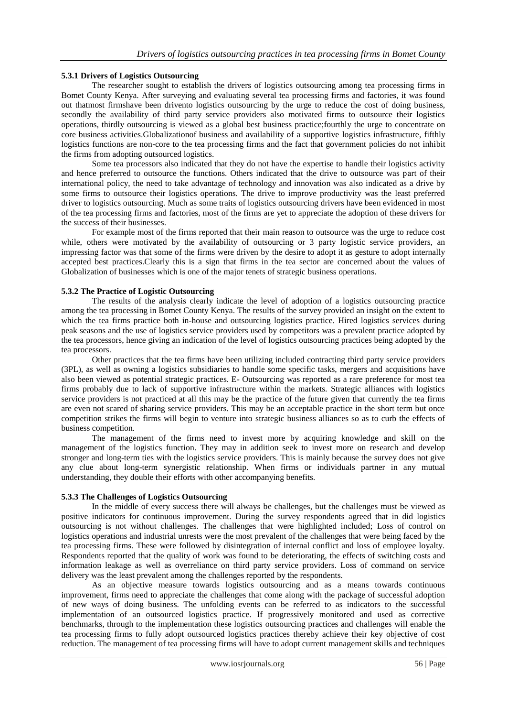## **5.3.1 Drivers of Logistics Outsourcing**

The researcher sought to establish the drivers of logistics outsourcing among tea processing firms in Bomet County Kenya. After surveying and evaluating several tea processing firms and factories, it was found out thatmost firmshave been drivento logistics outsourcing by the urge to reduce the cost of doing business, secondly the availability of third party service providers also motivated firms to outsource their logistics operations, thirdly outsourcing is viewed as a global best business practice;fourthly the urge to concentrate on core business activities.Globalizationof business and availability of a supportive logistics infrastructure, fifthly logistics functions are non-core to the tea processing firms and the fact that government policies do not inhibit the firms from adopting outsourced logistics.

Some tea processors also indicated that they do not have the expertise to handle their logistics activity and hence preferred to outsource the functions. Others indicated that the drive to outsource was part of their international policy, the need to take advantage of technology and innovation was also indicated as a drive by some firms to outsource their logistics operations. The drive to improve productivity was the least preferred driver to logistics outsourcing. Much as some traits of logistics outsourcing drivers have been evidenced in most of the tea processing firms and factories, most of the firms are yet to appreciate the adoption of these drivers for the success of their businesses.

For example most of the firms reported that their main reason to outsource was the urge to reduce cost while, others were motivated by the availability of outsourcing or 3 party logistic service providers, an impressing factor was that some of the firms were driven by the desire to adopt it as gesture to adopt internally accepted best practices.Clearly this is a sign that firms in the tea sector are concerned about the values of Globalization of businesses which is one of the major tenets of strategic business operations.

## **5.3.2 The Practice of Logistic Outsourcing**

The results of the analysis clearly indicate the level of adoption of a logistics outsourcing practice among the tea processing in Bomet County Kenya. The results of the survey provided an insight on the extent to which the tea firms practice both in-house and outsourcing logistics practice. Hired logistics services during peak seasons and the use of logistics service providers used by competitors was a prevalent practice adopted by the tea processors, hence giving an indication of the level of logistics outsourcing practices being adopted by the tea processors.

Other practices that the tea firms have been utilizing included contracting third party service providers (3PL), as well as owning a logistics subsidiaries to handle some specific tasks, mergers and acquisitions have also been viewed as potential strategic practices. E- Outsourcing was reported as a rare preference for most tea firms probably due to lack of supportive infrastructure within the markets. Strategic alliances with logistics service providers is not practiced at all this may be the practice of the future given that currently the tea firms are even not scared of sharing service providers. This may be an acceptable practice in the short term but once competition strikes the firms will begin to venture into strategic business alliances so as to curb the effects of business competition.

The management of the firms need to invest more by acquiring knowledge and skill on the management of the logistics function. They may in addition seek to invest more on research and develop stronger and long-term ties with the logistics service providers. This is mainly because the survey does not give any clue about long-term synergistic relationship. When firms or individuals partner in any mutual understanding, they double their efforts with other accompanying benefits.

#### **5.3.3 The Challenges of Logistics Outsourcing**

In the middle of every success there will always be challenges, but the challenges must be viewed as positive indicators for continuous improvement. During the survey respondents agreed that in did logistics outsourcing is not without challenges. The challenges that were highlighted included; Loss of control on logistics operations and industrial unrests were the most prevalent of the challenges that were being faced by the tea processing firms. These were followed by disintegration of internal conflict and loss of employee loyalty. Respondents reported that the quality of work was found to be deteriorating, the effects of switching costs and information leakage as well as overreliance on third party service providers. Loss of command on service delivery was the least prevalent among the challenges reported by the respondents.

As an objective measure towards logistics outsourcing and as a means towards continuous improvement, firms need to appreciate the challenges that come along with the package of successful adoption of new ways of doing business. The unfolding events can be referred to as indicators to the successful implementation of an outsourced logistics practice. If progressively monitored and used as corrective benchmarks, through to the implementation these logistics outsourcing practices and challenges will enable the tea processing firms to fully adopt outsourced logistics practices thereby achieve their key objective of cost reduction. The management of tea processing firms will have to adopt current management skills and techniques